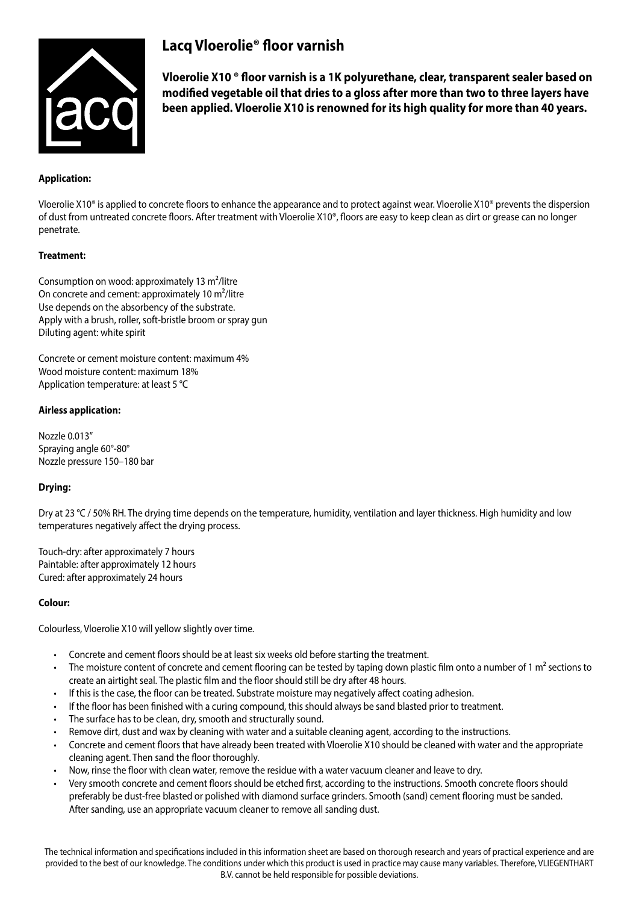

# **Lacq Vloerolie® floor varnish**

**Vloerolie X10 ® floor varnish is a 1K polyurethane, clear, transparent sealer based on modified vegetable oil that dries to a gloss after more than two to three layers have been applied. Vloerolie X10 is renowned for its high quality for more than 40 years.**

# **Application:**

Vloerolie X10<sup>®</sup> is applied to concrete floors to enhance the appearance and to protect against wear. Vloerolie X10<sup>®</sup> prevents the dispersion of dust from untreated concrete floors. After treatment with Vloerolie X10®, floors are easy to keep clean as dirt or grease can no longer penetrate.

## **Treatment:**

Consumption on wood: approximately 13 m²/litre On concrete and cement: approximately 10 m²/litre Use depends on the absorbency of the substrate. Apply with a brush, roller, soft-bristle broom or spray gun Diluting agent: white spirit

Concrete or cement moisture content: maximum 4% Wood moisture content: maximum 18% Application temperature: at least 5 °C

## **Airless application:**

Nozzle 0.013" Spraying angle 60°-80° Nozzle pressure 150–180 bar

# **Drying:**

Dry at 23 °C / 50% RH. The drying time depends on the temperature, humidity, ventilation and layer thickness. High humidity and low temperatures negatively affect the drying process.

Touch-dry: after approximately 7 hours Paintable: after approximately 12 hours Cured: after approximately 24 hours

#### **Colour:**

Colourless, Vloerolie X10 will yellow slightly over time.

- Concrete and cement floors should be at least six weeks old before starting the treatment.
- The moisture content of concrete and cement flooring can be tested by taping down plastic film onto a number of 1  $m<sup>2</sup>$  sections to create an airtight seal. The plastic film and the floor should still be dry after 48 hours.
- • If this is the case, the floor can be treated. Substrate moisture may negatively affect coating adhesion.
- If the floor has been finished with a curing compound, this should always be sand blasted prior to treatment.
- The surface has to be clean, dry, smooth and structurally sound.
- Remove dirt, dust and wax by cleaning with water and a suitable cleaning agent, according to the instructions.
- Concrete and cement floors that have already been treated with Vloerolie X10 should be cleaned with water and the appropriate cleaning agent. Then sand the floor thoroughly.
- Now, rinse the floor with clean water, remove the residue with a water vacuum cleaner and leave to dry.
- • Very smooth concrete and cement floors should be etched first, according to the instructions. Smooth concrete floors should preferably be dust-free blasted or polished with diamond surface grinders. Smooth (sand) cement flooring must be sanded. After sanding, use an appropriate vacuum cleaner to remove all sanding dust.

The technical information and specifications included in this information sheet are based on thorough research and years of practical experience and are provided to the best of our knowledge. The conditions under which this product is used in practice may cause many variables. Therefore, VLIEGENTHART B.V. cannot be held responsible for possible deviations.